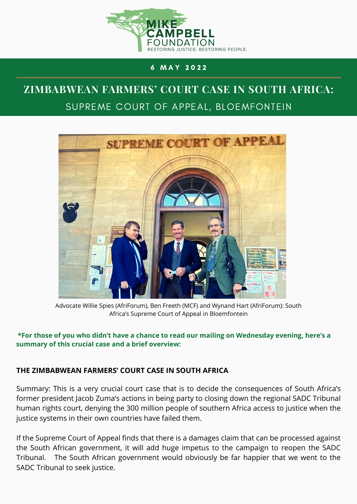

## 6 M A Y 2 0 2 2

# **ZIMBABWEAN FARMERS' COURT CASE IN SOUTH AFRICA:** SUPREME COURT OF APPEAL, BLOEMFONTEIN



Advocate Willie Spies (AfriForum), Ben Freeth (MCF) and Wynand Hart (AfriForum): South Africa's Supreme Court of Appeal in Bloemfontein

#### **\*For those of you who didn't have a chance to read our mailing on Wednesday evening, here's a summary of this crucial case and a brief overview:**

## **THE ZIMBABWEAN FARMERS' COURT CASE IN SOUTH AFRICA**

Summary: This is a very crucial court case that is to decide the consequences of South Africa's former president Jacob Zuma's actions in being party to closing down the regional SADC Tribunal human rights court, denying the 300 million people of southern Africa access to justice when the justice systems in their own countries have failed them.

If the Supreme Court of Appeal finds that there is a damages claim that can be processed against the South African government, it will add huge impetus to the campaign to reopen the SADC Tribunal. The South African government would obviously be far happier that we went to the SADC Tribunal to seek justice.